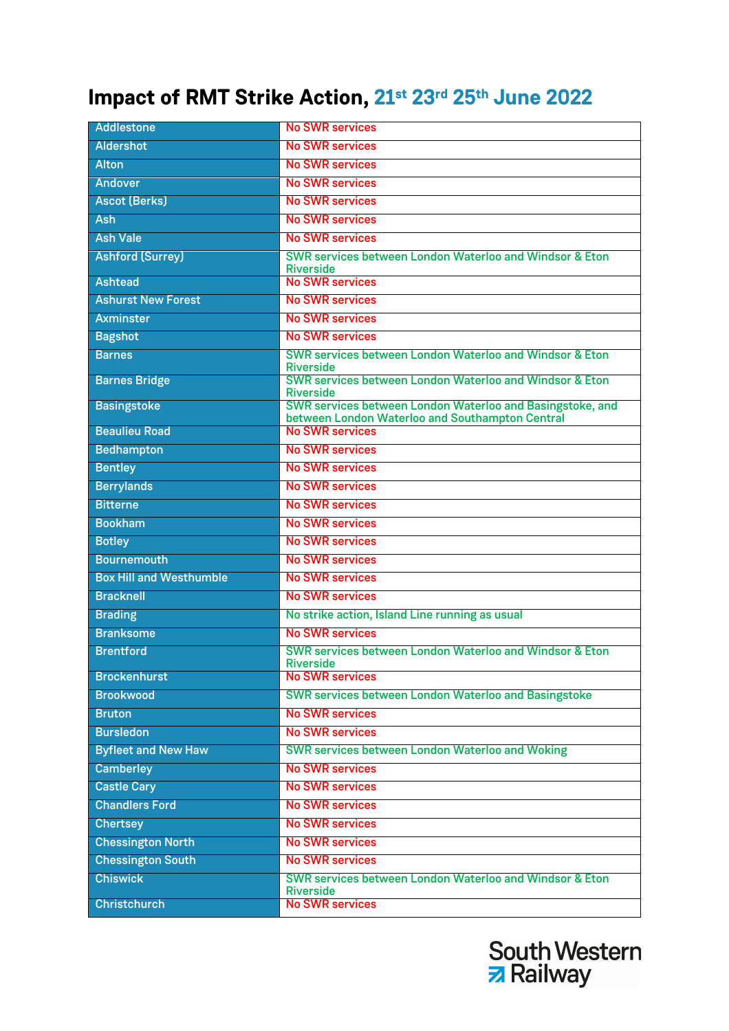## **Impact of RMT Strike Action, 21st 23rd 25th June 2022**

| Addlestone                     | <b>No SWR services</b>                                                      |
|--------------------------------|-----------------------------------------------------------------------------|
| Aldershot                      | <b>No SWR services</b>                                                      |
| <b>Alton</b>                   | <b>No SWR services</b>                                                      |
| Andover                        | <b>No SWR services</b>                                                      |
| <b>Ascot (Berks)</b>           | <b>No SWR services</b>                                                      |
| Ash                            | <b>No SWR services</b>                                                      |
| <b>Ash Vale</b>                | <b>No SWR services</b>                                                      |
| <b>Ashford (Surrey)</b>        | SWR services between London Waterloo and Windsor & Eton                     |
| <b>Ashtead</b>                 | <b>Riverside</b><br><b>No SWR services</b>                                  |
| <b>Ashurst New Forest</b>      | <b>No SWR services</b>                                                      |
| <b>Axminster</b>               | <b>No SWR services</b>                                                      |
| <b>Bagshot</b>                 | <b>No SWR services</b>                                                      |
| <b>Barnes</b>                  | SWR services between London Waterloo and Windsor & Eton                     |
|                                | <b>Riverside</b>                                                            |
| <b>Barnes Bridge</b>           | SWR services between London Waterloo and Windsor & Eton<br><b>Riverside</b> |
| <b>Basingstoke</b>             | SWR services between London Waterloo and Basingstoke, and                   |
| <b>Beaulieu Road</b>           | between London Waterloo and Southampton Central<br><b>No SWR services</b>   |
| Bedhampton                     | <b>No SWR services</b>                                                      |
| <b>Bentley</b>                 | <b>No SWR services</b>                                                      |
| <b>Berrylands</b>              | <b>No SWR services</b>                                                      |
| <b>Bitterne</b>                | <b>No SWR services</b>                                                      |
| <b>Bookham</b>                 | <b>No SWR services</b>                                                      |
| <b>Botley</b>                  | <b>No SWR services</b>                                                      |
| <b>Bournemouth</b>             | <b>No SWR services</b>                                                      |
| <b>Box Hill and Westhumble</b> | <b>No SWR services</b>                                                      |
| <b>Bracknell</b>               | <b>No SWR services</b>                                                      |
| <b>Brading</b>                 | No strike action, Island Line running as usual                              |
| <b>Branksome</b>               | <b>No SWR services</b>                                                      |
| <b>Brentford</b>               | SWR services between London Waterloo and Windsor & Eton                     |
| <b>Brockenhurst</b>            | <b>Riverside</b><br><b>No SWR services</b>                                  |
| <b>Brookwood</b>               | <b>SWR services between London Waterloo and Basingstoke</b>                 |
| <b>Bruton</b>                  | <b>No SWR services</b>                                                      |
| <b>Bursledon</b>               | <b>No SWR services</b>                                                      |
| <b>Byfleet and New Haw</b>     | <b>SWR services between London Waterloo and Woking</b>                      |
| <b>Camberley</b>               | <b>No SWR services</b>                                                      |
| <b>Castle Cary</b>             | <b>No SWR services</b>                                                      |
| <b>Chandlers Ford</b>          | <b>No SWR services</b>                                                      |
| <b>Chertsey</b>                | <b>No SWR services</b>                                                      |
| <b>Chessington North</b>       | <b>No SWR services</b>                                                      |
| <b>Chessington South</b>       | <b>No SWR services</b>                                                      |
| <b>Chiswick</b>                | SWR services between London Waterloo and Windsor & Eton<br><b>Riverside</b> |
| <b>Christchurch</b>            | <b>No SWR services</b>                                                      |

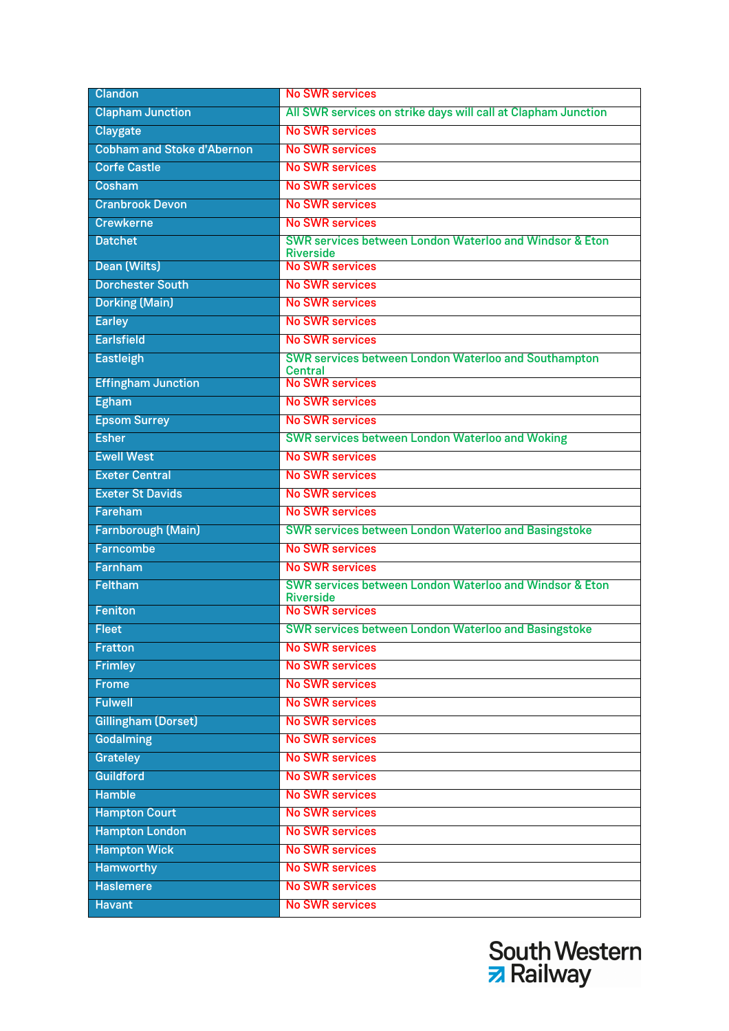| <b>Clandon</b>                    | <b>No SWR services</b>                                                        |
|-----------------------------------|-------------------------------------------------------------------------------|
| <b>Clapham Junction</b>           | All SWR services on strike days will call at Clapham Junction                 |
| Claygate                          | <b>No SWR services</b>                                                        |
| <b>Cobham and Stoke d'Abernon</b> | <b>No SWR services</b>                                                        |
| <b>Corfe Castle</b>               | <b>No SWR services</b>                                                        |
| Cosham                            | <b>No SWR services</b>                                                        |
| <b>Cranbrook Devon</b>            | <b>No SWR services</b>                                                        |
| <b>Crewkerne</b>                  | <b>No SWR services</b>                                                        |
| <b>Datchet</b>                    | SWR services between London Waterloo and Windsor & Eton<br><b>Riverside</b>   |
| Dean (Wilts)                      | <b>No SWR services</b>                                                        |
| <b>Dorchester South</b>           | <b>No SWR services</b>                                                        |
| <b>Dorking (Main)</b>             | <b>No SWR services</b>                                                        |
| <b>Earley</b>                     | <b>No SWR services</b>                                                        |
| <b>Earlsfield</b>                 | <b>No SWR services</b>                                                        |
| <b>Eastleigh</b>                  | <b>SWR services between London Waterloo and Southampton</b><br><b>Central</b> |
| <b>Effingham Junction</b>         | <b>No SWR services</b>                                                        |
| <b>Egham</b>                      | <b>No SWR services</b>                                                        |
| <b>Epsom Surrey</b>               | <b>No SWR services</b>                                                        |
| <b>Esher</b>                      | <b>SWR services between London Waterloo and Woking</b>                        |
| <b>Ewell West</b>                 | <b>No SWR services</b>                                                        |
| <b>Exeter Central</b>             | <b>No SWR services</b>                                                        |
| <b>Exeter St Davids</b>           | <b>No SWR services</b>                                                        |
| Fareham                           | <b>No SWR services</b>                                                        |
| Farnborough (Main)                | <b>SWR services between London Waterloo and Basingstoke</b>                   |
| Farncombe                         | <b>No SWR services</b>                                                        |
| Farnham                           | <b>No SWR services</b>                                                        |
| Feltham                           | SWR services between London Waterloo and Windsor & Eton<br><b>Riverside</b>   |
| Feniton                           | <b>No SWR services</b>                                                        |
| <b>Fleet</b>                      | <b>SWR services between London Waterloo and Basingstoke</b>                   |
| Fratton                           | <b>No SWR services</b>                                                        |
| <b>Frimley</b>                    | <b>No SWR services</b>                                                        |
| <b>Frome</b>                      | <b>No SWR services</b>                                                        |
| <b>Fulwell</b>                    | <b>No SWR services</b>                                                        |
| <b>Gillingham (Dorset)</b>        | <b>No SWR services</b>                                                        |
| Godalming                         | <b>No SWR services</b>                                                        |
| Grateley                          | <b>No SWR services</b>                                                        |
| <b>Guildford</b>                  | <b>No SWR services</b>                                                        |
| <b>Hamble</b>                     | <b>No SWR services</b>                                                        |
| <b>Hampton Court</b>              | <b>No SWR services</b>                                                        |
| <b>Hampton London</b>             | <b>No SWR services</b>                                                        |
| <b>Hampton Wick</b>               | <b>No SWR services</b>                                                        |
| Hamworthy                         | <b>No SWR services</b>                                                        |
| <b>Haslemere</b>                  | <b>No SWR services</b>                                                        |
| <b>Havant</b>                     | <b>No SWR services</b>                                                        |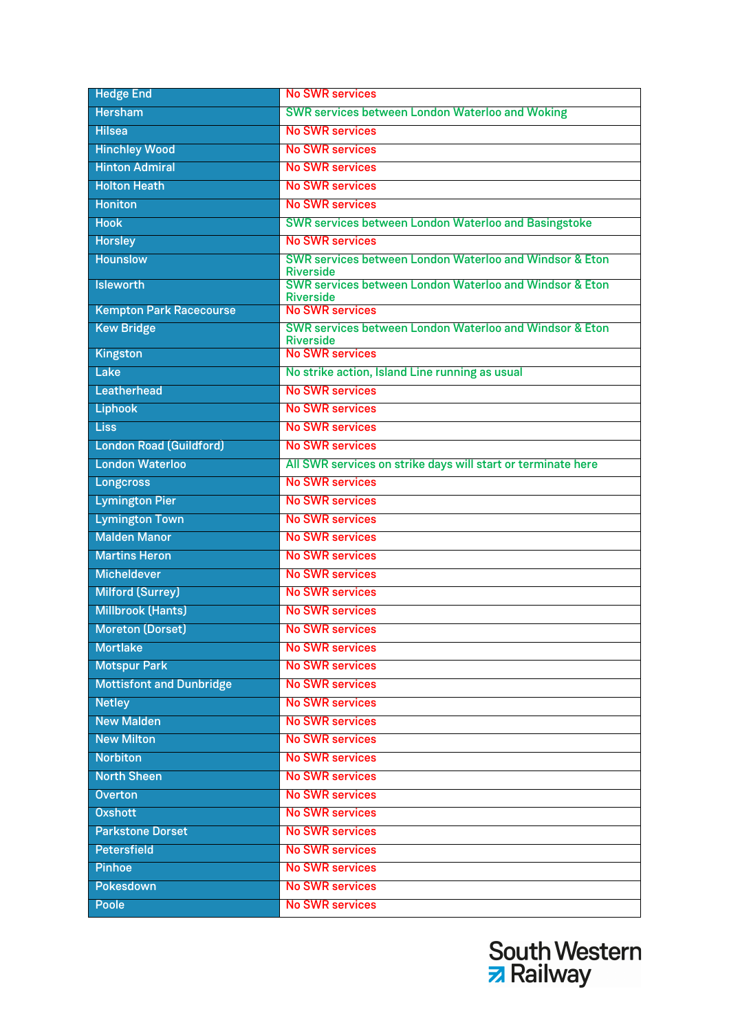| <b>Hedge End</b>                | <b>No SWR services</b>                                                      |
|---------------------------------|-----------------------------------------------------------------------------|
| Hersham                         | <b>SWR services between London Waterloo and Woking</b>                      |
| <b>Hilsea</b>                   | <b>No SWR services</b>                                                      |
| <b>Hinchley Wood</b>            | <b>No SWR services</b>                                                      |
| <b>Hinton Admiral</b>           | <b>No SWR services</b>                                                      |
| <b>Holton Heath</b>             | <b>No SWR services</b>                                                      |
| <b>Honiton</b>                  | <b>No SWR services</b>                                                      |
| <b>Hook</b>                     | <b>SWR services between London Waterloo and Basingstoke</b>                 |
| <b>Horsley</b>                  | <b>No SWR services</b>                                                      |
| Hounslow                        | SWR services between London Waterloo and Windsor & Eton<br><b>Riverside</b> |
| <b>Isleworth</b>                | SWR services between London Waterloo and Windsor & Eton                     |
| <b>Kempton Park Racecourse</b>  | <b>Riverside</b><br><b>No SWR services</b>                                  |
| <b>Kew Bridge</b>               | SWR services between London Waterloo and Windsor & Eton<br><b>Riverside</b> |
| Kingston                        | <b>No SWR services</b>                                                      |
| Lake                            | No strike action, Island Line running as usual                              |
| Leatherhead                     | <b>No SWR services</b>                                                      |
| <b>Liphook</b>                  | <b>No SWR services</b>                                                      |
| <b>Liss</b>                     | <b>No SWR services</b>                                                      |
| <b>London Road (Guildford)</b>  | <b>No SWR services</b>                                                      |
| <b>London Waterloo</b>          | All SWR services on strike days will start or terminate here                |
| <b>Longcross</b>                | <b>No SWR services</b>                                                      |
| <b>Lymington Pier</b>           | <b>No SWR services</b>                                                      |
| <b>Lymington Town</b>           | <b>No SWR services</b>                                                      |
| <b>Malden Manor</b>             | <b>No SWR services</b>                                                      |
| <b>Martins Heron</b>            | <b>No SWR services</b>                                                      |
| <b>Micheldever</b>              | <b>No SWR services</b>                                                      |
| <b>Milford (Surrey)</b>         | <b>No SWR services</b>                                                      |
| <b>Millbrook (Hants)</b>        | <b>No SWR services</b>                                                      |
| <b>Moreton (Dorset)</b>         | <b>No SWR services</b>                                                      |
| <b>Mortlake</b>                 | <b>No SWR services</b>                                                      |
| <b>Motspur Park</b>             | <b>No SWR services</b>                                                      |
| <b>Mottisfont and Dunbridge</b> | <b>No SWR services</b>                                                      |
| Netley                          | <b>No SWR services</b>                                                      |
| <b>New Malden</b>               | <b>No SWR services</b>                                                      |
| <b>New Milton</b>               | <b>No SWR services</b>                                                      |
| <b>Norbiton</b>                 | <b>No SWR services</b>                                                      |
| <b>North Sheen</b>              | <b>No SWR services</b>                                                      |
| <b>Overton</b>                  | <b>No SWR services</b>                                                      |
| <b>Oxshott</b>                  | <b>No SWR services</b>                                                      |
| <b>Parkstone Dorset</b>         | <b>No SWR services</b>                                                      |
| <b>Petersfield</b>              | <b>No SWR services</b>                                                      |
| <b>Pinhoe</b>                   | <b>No SWR services</b>                                                      |
| Pokesdown                       | <b>No SWR services</b>                                                      |
| Poole                           | <b>No SWR services</b>                                                      |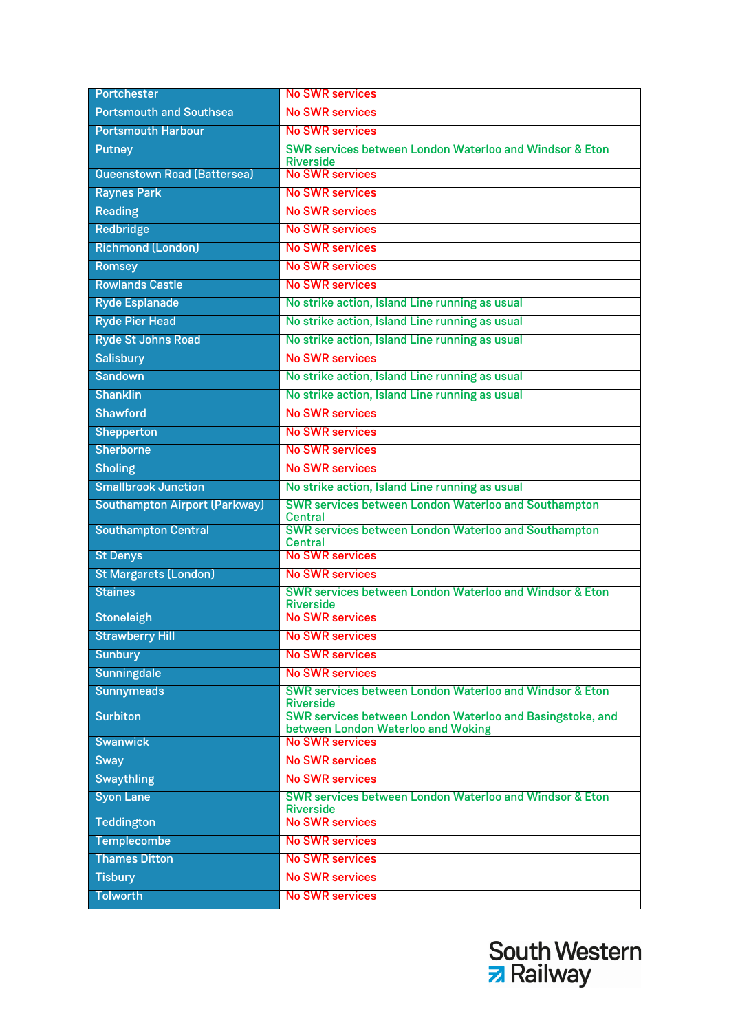| Portchester                          | <b>No SWR services</b>                                                                          |
|--------------------------------------|-------------------------------------------------------------------------------------------------|
| <b>Portsmouth and Southsea</b>       | <b>No SWR services</b>                                                                          |
| <b>Portsmouth Harbour</b>            | <b>No SWR services</b>                                                                          |
| Putney                               | SWR services between London Waterloo and Windsor & Eton                                         |
| <b>Queenstown Road (Battersea)</b>   | <b>Riverside</b><br><b>No SWR services</b>                                                      |
| <b>Raynes Park</b>                   | <b>No SWR services</b>                                                                          |
| Reading                              | <b>No SWR services</b>                                                                          |
| Redbridge                            | <b>No SWR services</b>                                                                          |
| <b>Richmond (London)</b>             | <b>No SWR services</b>                                                                          |
| Romsey                               | <b>No SWR services</b>                                                                          |
| <b>Rowlands Castle</b>               | <b>No SWR services</b>                                                                          |
| Ryde Esplanade                       | No strike action, Island Line running as usual                                                  |
| <b>Ryde Pier Head</b>                | No strike action, Island Line running as usual                                                  |
| <b>Ryde St Johns Road</b>            | No strike action, Island Line running as usual                                                  |
| <b>Salisbury</b>                     | <b>No SWR services</b>                                                                          |
| Sandown                              | No strike action, Island Line running as usual                                                  |
| <b>Shanklin</b>                      | No strike action, Island Line running as usual                                                  |
| Shawford                             | <b>No SWR services</b>                                                                          |
| Shepperton                           | <b>No SWR services</b>                                                                          |
| Sherborne                            | <b>No SWR services</b>                                                                          |
| <b>Sholing</b>                       | <b>No SWR services</b>                                                                          |
| <b>Smallbrook Junction</b>           | No strike action, Island Line running as usual                                                  |
| <b>Southampton Airport (Parkway)</b> | SWR services between London Waterloo and Southampton<br>Central                                 |
| <b>Southampton Central</b>           | <b>SWR services between London Waterloo and Southampton</b><br><b>Central</b>                   |
| <b>St Denys</b>                      | <b>No SWR services</b>                                                                          |
| <b>St Margarets (London)</b>         | <b>No SWR services</b>                                                                          |
| <b>Staines</b>                       | SWR services between London Waterloo and Windsor & Eton<br><b>Riverside</b>                     |
| Stoneleigh                           | <b>No SWR services</b>                                                                          |
| <b>Strawberry Hill</b>               | <b>No SWR services</b>                                                                          |
| Sunbury                              | <b>No SWR services</b>                                                                          |
| Sunningdale                          | <b>No SWR services</b>                                                                          |
| Sunnymeads                           | SWR services between London Waterloo and Windsor & Eton<br><b>Riverside</b>                     |
| <b>Surbiton</b>                      | SWR services between London Waterloo and Basingstoke, and<br>between London Waterloo and Woking |
| <b>Swanwick</b>                      | <b>No SWR services</b>                                                                          |
| Sway                                 | <b>No SWR services</b>                                                                          |
| Swaythling                           | <b>No SWR services</b>                                                                          |
| <b>Syon Lane</b>                     | SWR services between London Waterloo and Windsor & Eton<br><b>Riverside</b>                     |
| Teddington                           | <b>No SWR services</b>                                                                          |
| Templecombe                          | <b>No SWR services</b>                                                                          |
| <b>Thames Ditton</b>                 | <b>No SWR services</b>                                                                          |
| Tisbury                              | <b>No SWR services</b>                                                                          |
| <b>Tolworth</b>                      | <b>No SWR services</b>                                                                          |